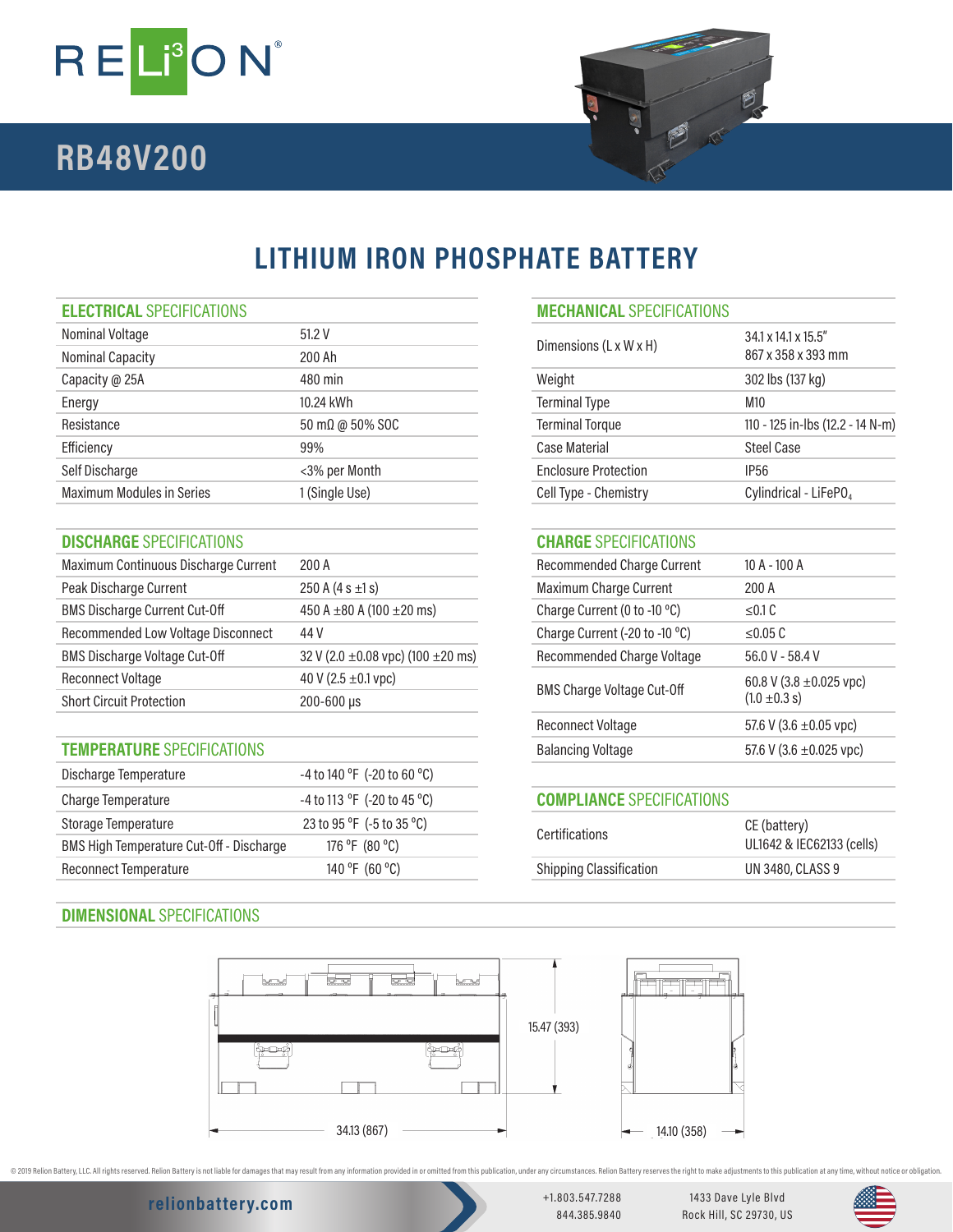

# **RB48V200**



# **LITHIUM IRON PHOSPHATE BATTERY**

### **ELECTRICAL** SPECIFICATIONS

| Nominal Voltage                  | 51.2V                        | Dimensions (L x W x H)      | 34.1 x 14.1 x 15.5"               |
|----------------------------------|------------------------------|-----------------------------|-----------------------------------|
| <b>Nominal Capacity</b>          | 200 Ah                       |                             | 867 x 358 x 393 mm                |
| Capacity @ 25A                   | 480 min                      | Weight                      | 302 lbs (137 kg)                  |
| Energy                           | 10.24 kWh                    | <b>Terminal Type</b>        | M10                               |
| Resistance                       | $50 \text{ mA}$ @ $50\%$ SOC | <b>Terminal Torque</b>      | 110 - 125 in-lbs (12.2 - 14 N-m)  |
| Efficiency                       | 99%                          | Case Material               | <b>Steel Case</b>                 |
| Self Discharge                   | <3% per Month                | <b>Enclosure Protection</b> | IP <sub>56</sub>                  |
| <b>Maximum Modules in Series</b> | 1 (Single Use)               | Cell Type - Chemistry       | Cylindrical - LiFePO <sub>4</sub> |
|                                  |                              |                             |                                   |

### **DISCHARGE** SPECIFICATIONS **CHARGE** SPECIFICATIONS

| Maximum Continuous Discharge Current | 200A                                        | <b>Recommended Charge Current</b>                      | $10 A - 100 A$  |
|--------------------------------------|---------------------------------------------|--------------------------------------------------------|-----------------|
| Peak Discharge Current               | 250 A $(4 s \pm 1 s)$                       | Maximum Charge Current                                 | 200 A           |
| <b>BMS Discharge Current Cut-Off</b> | 450 A $\pm$ 80 A (100 $\pm$ 20 ms)          | Charge Current (0 to -10 °C)                           | $\leq$ 0.1 C    |
| Recommended Low Voltage Disconnect   | 44 V                                        | Charge Current (-20 to -10 °C)                         | $\leq$ 0.05 C   |
| <b>BMS Discharge Voltage Cut-Off</b> | 32 V (2.0 $\pm$ 0.08 vpc) (100 $\pm$ 20 ms) | Recommended Charge Voltage                             | 56.0 V - 58.4 V |
| <b>Reconnect Voltage</b>             | 40 V (2.5 $\pm$ 0.1 vpc)                    | 60.8 V (3.8 $\pm$ 0.025 vpc)                           |                 |
| <b>Short Circuit Protection</b>      | $200 - 600 \,\mu s$                         | <b>BMS Charge Voltage Cut-Off</b><br>$(1.0 \pm 0.3 s)$ |                 |

### **TEMPERATURE** SPECIFICATIONS

| Discharge Temperature                    | -4 to 140 °F (-20 to 60 °C) |                                       |                  |
|------------------------------------------|-----------------------------|---------------------------------------|------------------|
| Charge Temperature                       | -4 to 113 °F (-20 to 45 °C) | <b>COMPLIANCE SPECIFICATIONS</b>      |                  |
| Storage Temperature                      | 23 to 95 °F (-5 to 35 °C)   | CE (battery)<br><b>Certifications</b> |                  |
| BMS High Temperature Cut-Off - Discharge | 176 °F (80 °C)              | UL1642 & IEC62133 (cells)             |                  |
| Reconnect Temperature                    | 140 °F (60 °C)              | <b>Shipping Classification</b>        | UN 3480, CLASS 9 |
|                                          |                             |                                       |                  |

## **DIMENSIONAL** SPECIFICATIONS

| Dimensions (L x W x H)      | $34.1 \times 14.1 \times 15.5$ "<br>867 x 358 x 393 mm |
|-----------------------------|--------------------------------------------------------|
| Weight                      | 302 lbs (137 kg)                                       |
| <b>Terminal Type</b>        | M10                                                    |
| <b>Terminal Torque</b>      | 110 - 125 in-lbs (12.2 - 14 N-m)                       |
| Case Material               | Steel Case                                             |
| <b>Enclosure Protection</b> | IP <sub>56</sub>                                       |
| Cell Type - Chemistry       | Cylindrical - LiFePO <sub>4</sub>                      |

| Recommended Charge Current        | 10 A - 100 A                                      |
|-----------------------------------|---------------------------------------------------|
| <b>Maximum Charge Current</b>     | 200 A                                             |
| Charge Current (0 to -10 °C)      | < 0.1 C                                           |
| Charge Current (-20 to -10 °C)    | < 0.05 C                                          |
| Recommended Charge Voltage        | $56.0 V - 58.4 V$                                 |
| <b>BMS Charge Voltage Cut-Off</b> | 60.8 V (3.8 $\pm$ 0.025 vpc)<br>$(1.0 \pm 0.3 s)$ |
| Reconnect Voltage                 | 57.6 V (3.6 $\pm$ 0.05 vpc)                       |
| <b>Balancing Voltage</b>          | 57.6 V (3.6 $\pm$ 0.025 vpc)                      |
|                                   |                                                   |

## **COMPLIANCE** SPECIFICATIONS

| <b>Certifications</b>          | CE (battery)<br>UL1642 & IEC62133 (cells) |  |
|--------------------------------|-------------------------------------------|--|
| <b>Shipping Classification</b> | UN 3480, CLASS 9                          |  |
|                                |                                           |  |



@ 2019 Relion Battery, LLC. All rights reserved. Relion Battery is not liable for damages that may result from any information provided in or omitted from this publication, under any oricumstances. Relion Battery reserves

## **relionbattery.com** +1.803.547.7288

844.385.9840

1433 Dave Lyle Blvd Rock Hill, SC 29730, US